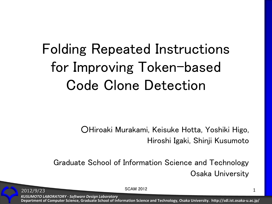# Folding Repeated Instructions for Improving Token-based Code Clone Detection

○Hiroaki Murakami, Keisuke Hotta, Yoshiki Higo, Hiroshi Igaki, Shinji Kusumoto

Graduate School of Information Science and Technology Osaka University

2012/9/23 SCAM 2012 2012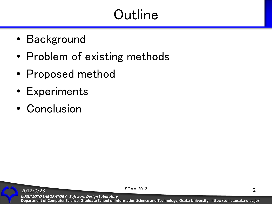# **Outline**

- Background
- Problem of existing methods
- Proposed method
- Experiments
- Conclusion

**Department of Computer Science, Graduate School of Information Science and Technology, Osaka University. http://sdl.ist.osaka-u.ac.jp/** *KUSUMOTO LABORATORY - Software Design Laboratory*

2012/9/23 SCAM 2012 2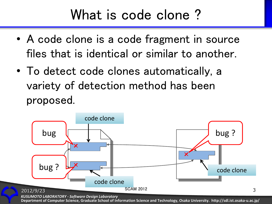### What is code clone ?

- A code clone is a code fragment in source files that is identical or similar to another.
- To detect code clones automatically, a variety of detection method has been proposed.



*KUSUMOTO LABORATORY - Software Design Laboratory*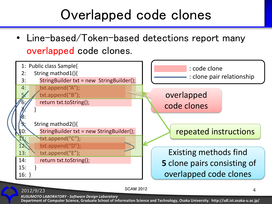### Overlapped code clones

• Line-based/Token-based detections report many overlapped code clones.



#### SCAM 2012 4

*KUSUMOTO LABORATORY - Software Design Laboratory*

2012/9/23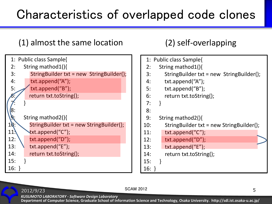#### Characteristics of overlapped code clones

#### (1) almost the same location (2) self-overlapping

```
 1: Public class Sample{
  2: String mathod1(){
  3: StringBuilder txt = new StringBuilder();
  4: txt.append("A");
 5: \sqrt{\frac{t}{x}} txt.append("B");
        return txt.toString();
 7: }
\sqrt{8}:
       9: String mathod2(){
10: StringBuilder txt = new StringBuilder();
11. \forallxt.append("C");
12: \setminus txt.append("D");
13: \ txt.append("E");
14: return txt.toString();
15:16: }
```

|                         |                     | 1: Public class Sample{                  |  |  |  |  |  |  |
|-------------------------|---------------------|------------------------------------------|--|--|--|--|--|--|
| 2:                      | String mathod 1() { |                                          |  |  |  |  |  |  |
| 3:                      |                     | StringBuilder txt = new StringBuilder(); |  |  |  |  |  |  |
| 4:                      |                     | txt.append("A");                         |  |  |  |  |  |  |
| 5:                      |                     | txt.append("B");                         |  |  |  |  |  |  |
| 6:                      |                     | return txt.toString();                   |  |  |  |  |  |  |
| 7:                      | <sup>}</sup>        |                                          |  |  |  |  |  |  |
| 8:                      |                     |                                          |  |  |  |  |  |  |
| 9:<br>String mathod2(){ |                     |                                          |  |  |  |  |  |  |
| 10:                     |                     | StringBuilder txt = new StringBuilder(); |  |  |  |  |  |  |
| 11:                     |                     | $txt.append("C")$ ;                      |  |  |  |  |  |  |
| 12:                     |                     | txt.append("D");                         |  |  |  |  |  |  |
| 13:                     |                     | $txt.append("E")$ ;                      |  |  |  |  |  |  |
| 14:                     |                     | return txt.toString();                   |  |  |  |  |  |  |
| 15:                     | ł                   |                                          |  |  |  |  |  |  |
| $16: \}$                |                     |                                          |  |  |  |  |  |  |

#### $SCAM 2012$  5

*KUSUMOTO LABORATORY - Software Design Laboratory*

2012/9/23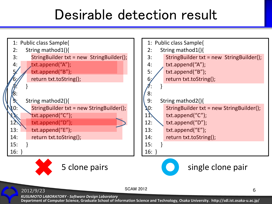## Desirable detection result



*KUSUMOTO LABORATORY - Software Design Laboratory*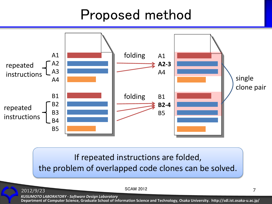## Proposed method



If repeated instructions are folded, the problem of overlapped code clones can be solved.

SCAM 2012 7

*KUSUMOTO LABORATORY - Software Design Laboratory*

2012/9/23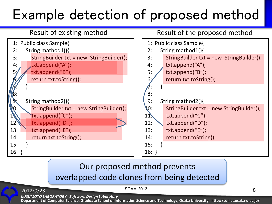# Example detection of proposed method



#### Result of existing method Result of the proposed method



#### Our proposed method prevents overlapped code clones from being detected

SCAM 2012 8

*KUSUMOTO LABORATORY - Software Design Laboratory*

2012/9/23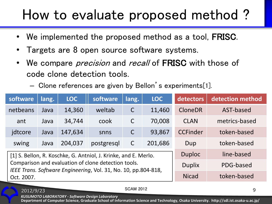## How to evaluate proposed method ?

- We implemented the proposed method as a tool, **FRISC**.
- Targets are 8 open source software systems.
- We compare *precision* and *recall* of **FRISC** with those of code clone detection tools.
	- Clone references are given by Bellon's experiments[1].

| software   | lang. | <b>LOC</b>                                                                                                            | software      | lang.        | <b>LOC</b> | detectors       | detection method |
|------------|-------|-----------------------------------------------------------------------------------------------------------------------|---------------|--------------|------------|-----------------|------------------|
| netbeans   | Java  | 14,360                                                                                                                | weltab        | $\mathsf C$  | 11,460     | <b>CloneDR</b>  | AST-based        |
| ant        | Java  | 34,744                                                                                                                | cook          | $\mathsf{C}$ | 70,008     | <b>CLAN</b>     | metrics-based    |
| jdtcore    | Java  | 147,634                                                                                                               | snns          | $\mathsf C$  | 93,867     | <b>CCFinder</b> | token-based      |
| swing      | Java  | 204,037                                                                                                               | postgresql    | $\mathsf C$  | 201,686    | Dup             | token-based      |
|            |       | [1] S. Bellon, R. Koschke, G. Antniol, J. Krinke, and E. Merlo.                                                       | <b>Duploc</b> | line-based   |            |                 |                  |
|            |       | Comparison and evaluation of clone detection tools.<br>IEEE Trans. Software Engineering, Vol. 31, No. 10, pp.804-818, | <b>Duplix</b> | PDG-based    |            |                 |                  |
| Oct. 2007. |       |                                                                                                                       | <b>Nicad</b>  | token-based  |            |                 |                  |

SCAM 2012

*KUSUMOTO LABORATORY - Software Design Laboratory*

2012/9/23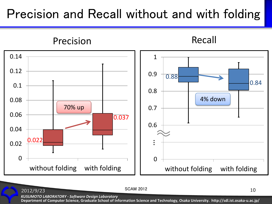#### Precision and Recall without and with folding



SCAM 2012 10

*KUSUMOTO LABORATORY - Software Design Laboratory*

2012/9/23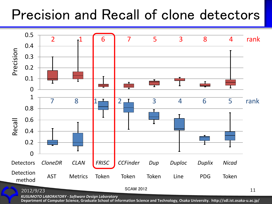## Precision and Recall of clone detectors



*KUSUMOTO LABORATORY - Software Design Laboratory*